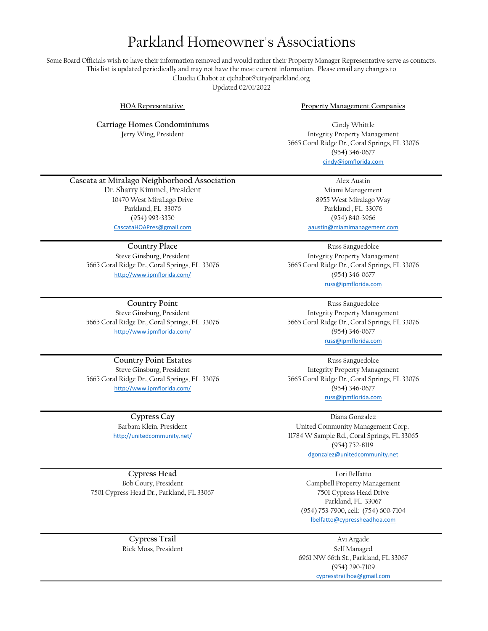# Parkland Homeowner's Associations

Some Board Officials wish to have their information removed and would rather their Property Manager Representative serve as contacts. This list is updated periodically and may not have the most current information. Please email any changes to Claudia Chabot at cjchabot@cityofparkland.org Updated 02/01/2022

**Carriage Homes Condominiums** Jerry Wing, President

**HOA Representative Property Management Companies**

[cindy@ipmflorida.com](mailto:cindy@ipmflorida.com) Cindy Whittle Integrity Property Management 5665 Coral Ridge Dr., Coral Springs, FL 33076 (954) 346-0677

#### **Cascata at Miralago Neighborhood Association**

10470 West MiraLago Drive Parkland, FL 33076 Parkland, FL 33076 (954) 993-3350 Dr. Sharry Kimmel, President CascataHOAPres@gmail.com

**Country Place**

Steve Ginsburg, President 5665 Coral Ridge Dr., Coral Springs, FL 33076 http://www.ipmflorida.com/

**Country Point** http://www.ipmflorida.com/ Steve Ginsburg, President 5665 Coral Ridge Dr., Coral Springs, FL 33076

**Country Point Estates** Steve Ginsburg, President 5665 Coral Ridge Dr., Coral Springs, FL 33076 http://www.ipmflorida.com/

> http://unitedcommunity.net/ **Cypress Cay** Barbara Klein, President

(954) 840-3966 Alex Austin [aaustin@miamimanagement.](mailto:aaustin@miamimanagement.com)com 8955 West Miralago Way Miami Management

[russ@ipmflorida.com](mailto:russ@ipmflorida.com) (954) 346-0677 Russ Sanguedolce Integrity Property Management 5665 Coral Ridge Dr., Coral Springs, FL 33076

5665 Coral Ridge Dr., Coral Springs, FL 33076 (954) 346-0677 [russ@ipmflorida.com](mailto:russ@ipmflorida.com) Russ Sanguedolce Integrity Property Management

[russ@ipmflorida.com](mailto:russ@ipmflorida.com) 5665 Coral Ridge Dr., Coral Springs, FL 33076 (954) 346-0677 Russ Sanguedolce Integrity Property Management

11784 W Sample Rd., Coral Springs, FL 33065 [dgonzalez@unitedcommunity](mailto:dgonzalez@unitedcommunity.net).net (954) 752-8119 United Community Management Corp. Diana Gonzalez

7501 Cypress Head Dr., Parkland, FL 33067 Bob Coury, President **Cypress Head**

> **Cypress Trail** Rick Moss, President

(954) 753-7900, cell: (754) 600-7104 Parkland, FL 33067 Campbell Property Management 7501 Cypress Head Drive Lori Belfatto [lbelfatto@cypressheadhoa.c](mailto:lbelfatto@cypressheadhoa.com)om

Self Managed Avi Argade 6961 NW 66th St., Parkland, FL 33067 (954) 290-7109 [cypresstrailhoa@gmail.com](mailto:cypresstrailhoa@gmail.com)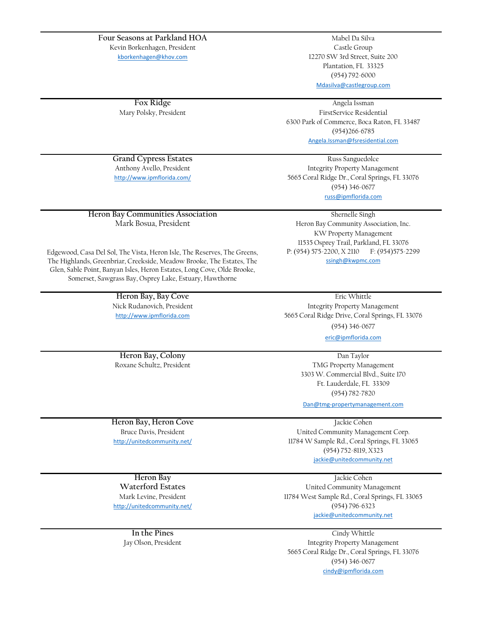#### **Four Seasons at Parkland HOA**

Kevin Borkenhagen, President

[k](mailto:kborkenhagen@khov.com)borkenhagen@khov.com

Mary Polsky, President **Fox Ridge**

[Mdasilva@castlegroup.com](mailto:Mdasilva@castlegroup.com) Mabel Da Silva 12270 SW 3rd Street, Suite 200 Plantation, FL 33325 (954) 792-6000 Castle Group

Angela Issman [Angela.Issman@fsresidential.](mailto:Angela.Issman@fsresidential.com)com FirstService Residential 6300 Park of Commerce, Boca Raton, FL 33487 (954)266-6785

**Grand Cypress Estates** http://www.ipmflorida.com/ Anthony Avello, President

Mark Bosua, President **Heron Bay Communities Association**

(954) 346-0677 [russ@ipmflorida.com](mailto:russ@ipmflorida.com) 5665 Coral Ridge Dr., Coral Springs, FL 33076 Russ Sanguedolce Integrity Property Management

Shernelle Singh KW Property Management 11535 Osprey Trail, Parkland, FL 33076 P: (954) 575-2200, X 2110 F: (954)575-2299 [ssingh@kwpmc.com](mailto:ssingh@kwpmc.com) Heron Bay Community Association, Inc.

Edgewood, Casa Del Sol, The Vista, Heron Isle, The Reserves, The Greens, The Highlands, Greenbriar, Creekside, Meadow Brooke, The Estates, The Glen, Sable Point, Banyan Isles, Heron Estates, Long Cove, Olde Brooke, Somerset, Sawgrass Bay, Osprey Lake, Estuary, Hawthorne

> **Heron Bay, Bay Cove** Nick Rudanovich, President [h](http://www.ipmflorida.com/)ttp://www.ipmflorida.com

Integrity Property Management (954) 346-0677 Eric Whittle 5665 Coral Ridge Drive, Coral Springs, FL 33076

[eric@ipmflorida.com](mailto:eric@ipmflorida.com)

Dan Taylor Ft. Lauderdale, FL 33309 (954) 782-7820 TMG Property Management 3303 W. Commercial Blvd., Suite 170

[Dan@tmg-propertymanagemen](mailto:Dan@tmg-propertymanagement.com)t.com

Jackie Cohen

United Community Management Corp. 11784 W Sample Rd., Coral Springs, FL 33065 (954) 752-8119, X323 [jackie@unitedcommunity.n](mailto:jackie@unitedcommunity.net)et

Jackie Cohen

11784 West Sample Rd., Coral Springs, FL 33065 (954) 796-6323 [jackie@unitedcommunity.n](mailto:jackie@unitedcommunity.net)et United Community Management

[cindy@ipmflorida.com](mailto:cindy@ipmflorida.com) 5665 Coral Ridge Dr., Coral Springs, FL 33076 Cindy Whittle Integrity Property Management (954) 346-0677

Roxane Schultz, President **Heron Bay, Colony**

http://unitedcommunity.net/ Bruce Davis, President **Heron Bay, Heron Cove**

**Waterford Estates Heron Bay**

http://unitedcommunity.net/ Mark Levine, President

> **In the Pines** Jay Olson, President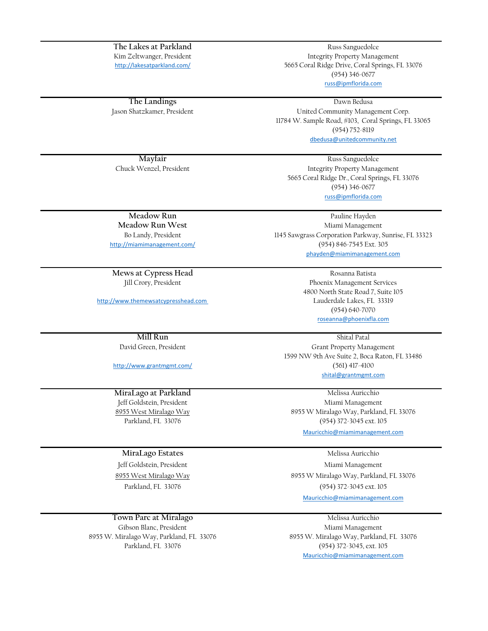http://lakesatparkland.com/ **The Lakes at Parkland** Kim Zeltwanger, President

Jason Shatzkamer, President **The Landings**

5665 Coral Ridge Drive, Coral Springs, FL 33076 (954) 346-0677 Russ Sanguedolce Integrity Property Management

[russ@ipmflorida.com](mailto:russ@ipmflorida.com)

[dbedusa@unitedcommunity](mailto:dbedusa@unitedcommunity.net).net United Community Management Corp. 11784 W. Sample Road, #103, Coral Springs, FL 33065 (954) 752-8119 Dawn Bedusa

**Mayfair** Russ Sanguedolce Chuck Wenzel, President

Integrity Property Management 5665 Coral Ridge Dr., Coral Springs, FL 33076 (954) 346-0677 [russ@ipmflorida.com](mailto:russ@ipmflorida.com)

Bo Landy, President **Meadow Run West** http://miamimanagement.com/ **Meadow Run**

Jill Crory, President **Mews at Cypress Head**

[h](http://www.themewsatcypresshead.com/)ttp://www.themewsatcypresshead.com

David Green, President **Mill Run**

http://www.grantmgmt.com/

**MiraLago at Parkland** Parkland, FL 33076 8955 West Miralago Way Jeff Goldstein, President

#### **MiraLago Estates**

Jeff Goldstein, President 8955 West Miralago Way Parkland, FL 33076

### **Town Parc at Miralago**

8955 W. Miralago Way, Parkland, FL 33076 Gibson Blanc, President Parkland, FL 33076

Pauline Hayden Miami Management [phayden@miamimanagement](mailto:phayden@miamimanagement.com).com 1145 Sawgrass Corporation Parkway, Sunrise, FL 33323 (954) 846-7545 Ext. 305

> (954) 640-7070 4800 North State Road 7, Suite 105 Phoenix Management Services Lauderdale Lakes, FL 33319 Rosanna Batista [roseanna@phoenixfla.com](mailto:roseanna@phoenixfla.com)

[shital@grantmgmt.com](mailto:shital@grantmgmt.com) Grant Property Management (561) 417-4100 Shital Patal 1599 NW 9th Ave Suite 2, Boca Raton, FL 33486

Melissa Auricchio Miami Management 8955 W Miralago Way, Parkland, FL 33076 (954) 372-3045 ext. 105

[Mauricchio@miamimanagemen](mailto:Mauricchio@miamimanagement.com)t.com

Melissa Auricchio

8955 W Miralago Way, Parkland, FL 33076 (954) 372-3045 ext. 105 Miami Management [Mauricchio@miamimanagemen](mailto:Mauricchio@miamimanagement.com)t.com

Melissa Auricchio Miami Management 8955 W. Miralago Way, Parkland, FL 33076 (954) 372-3045, ext. 105 [Mauricchio@miamimanagemen](mailto:Mauricchio@miamimanagement.com)t.com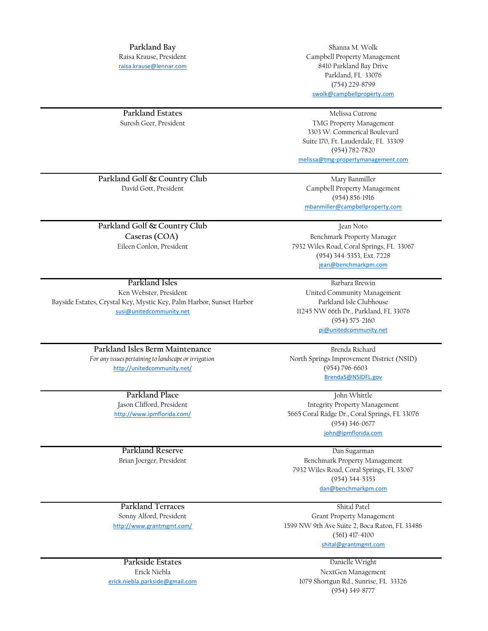[r](mailto:raisa.krause@lennar.com)aisa.krause@lennar.com Raisa Krause, President **Parkland Bay**

Campbell Property Management Parkland, FL 33076 [swolk@campbellproperty.co](mailto:swolk@campbellproperty.com)m (754) 229-8799 8410 Parkland Bay Drive Shanna M. Wolk

Suresh Geer, President **Parkland Estates**

Suite 170, Ft. Lauderdale, FL 33309 (954) 782-7820 [melissa@tmg-propertymanagem](mailto:melissa@tmg-propertymanagement.com)ent.com 3303 W. Commerical Boulevard Melissa Cutrone TMG Property Management

David Gott, President **Campbell Property Management Parkland Golf & Country Club**

**Caseras (COA) Parkland Golf & Country Club**

Eileen Conlon, President

susi@unitedcommunity.net Ken Webster, President **Parkland Isles** Bayside Estates, Crystal Key, Mystic Key, Palm Harbor, Sunset Harbor

> **Parkland Isles Berm Maintenance** *For any issues pertaining to landscape or irrigation* http://unitedcommunity.net/

> > **Parkland Place** Jason Clifford, President http://www.ipmflorida.com/

**Parkland Reserve** Brian Joerger, President

Benchmark Property Manager 7932 Wiles Road, Coral Springs, FL 33067 (954) 344-5353, Ext. 7228 [jean@benchmarkpm.com](mailto:jean@benchmarkpm.com)

[mbanmiller@campbellpropert](mailto:mbanmiller@campbellproperty.com)y.com

(954) 856-1916

Mary Banmiller

Jean Noto

Parkland Isle Clubhouse 11245 NW 66th Dr., Parkland, FL 33076 United Community Management (954) 575-2160 [pi@unitedcommunity.net](mailto:pi@unitedcommunity.net) Barbara Brewin

(954) 796-6603 [BrendaS@NSIDFL.gov](mailto:BrendaS@NSIDFL.gov) Brenda Richard North Springs Improvement District (NSID)

John Whittle (954) 346-0677 [john@ipmflorida.com](mailto:john@ipmflorida.com) 5665 Coral Ridge Dr., Coral Springs, FL 33076 Integrity Property Management

[dan@benchmarkpm.com](mailto:dan@benchmarkpm.com) (954) 344-5353 Dan Sugarman Benchmark Property Management 7932 Wiles Road, Coral Springs, FL 33067

(561) 417-4100 [shital@grantmgmt.com](mailto:shital@grantmgmt.com) Grant Property Management 1599 NW 9th Ave Suite 2, Boca Raton, FL 33486

> Danielle Wright 1079 Shortgun Rd., Sunrise, FL 33326 (954) 349-8777 NextGen Management

Sonny Alford, President http://www.grantmgmt.com/ **Parkland Terraces** Shital Patel

Erick Niebla **Parkside Estates** erick.niebla.parkside@gmail.com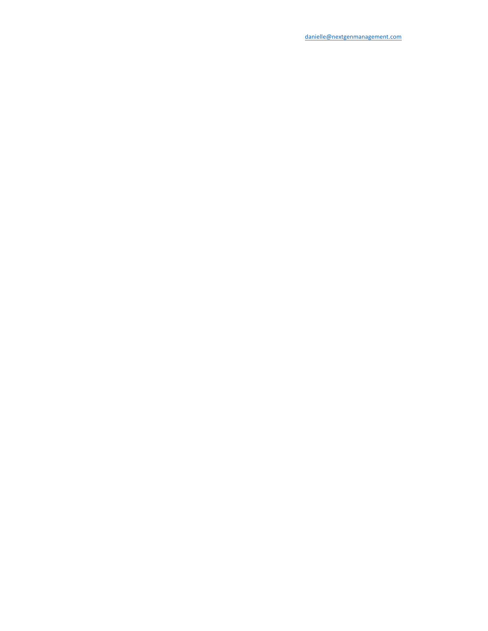danielle@nextgenmanagement.com